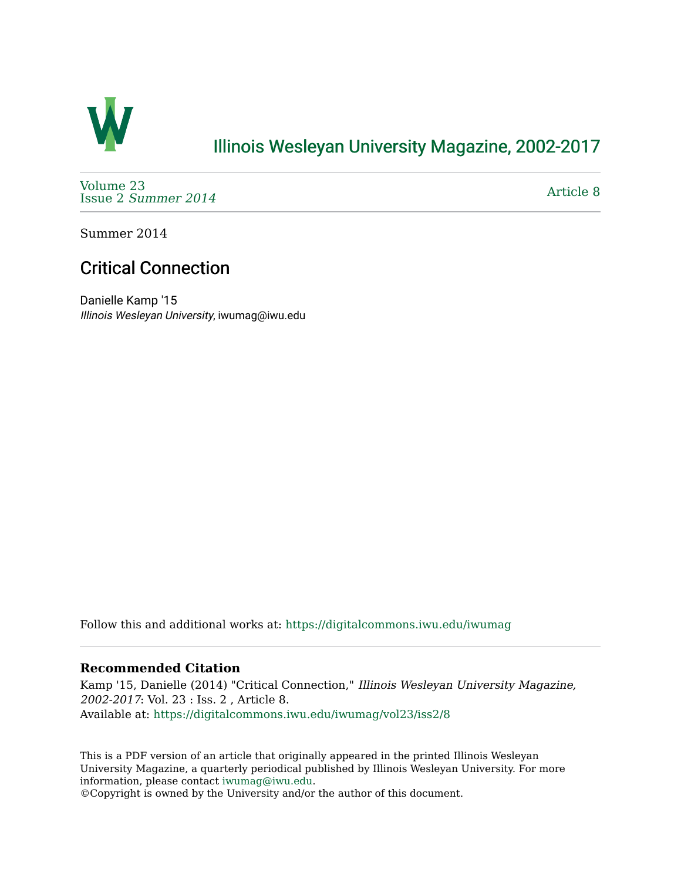

## [Illinois Wesleyan University Magazine, 2002-2017](https://digitalcommons.iwu.edu/iwumag)

[Volume 23](https://digitalcommons.iwu.edu/iwumag/vol23)  Issue 2 [Summer 2014](https://digitalcommons.iwu.edu/iwumag/vol23/iss2) 

[Article 8](https://digitalcommons.iwu.edu/iwumag/vol23/iss2/8) 

Summer 2014

# Critical Connection

Danielle Kamp '15 Illinois Wesleyan University, iwumag@iwu.edu

Follow this and additional works at: [https://digitalcommons.iwu.edu/iwumag](https://digitalcommons.iwu.edu/iwumag?utm_source=digitalcommons.iwu.edu%2Fiwumag%2Fvol23%2Fiss2%2F8&utm_medium=PDF&utm_campaign=PDFCoverPages) 

### **Recommended Citation**

Kamp '15, Danielle (2014) "Critical Connection," Illinois Wesleyan University Magazine, 2002-2017: Vol. 23 : Iss. 2 , Article 8. Available at: [https://digitalcommons.iwu.edu/iwumag/vol23/iss2/8](https://digitalcommons.iwu.edu/iwumag/vol23/iss2/8?utm_source=digitalcommons.iwu.edu%2Fiwumag%2Fvol23%2Fiss2%2F8&utm_medium=PDF&utm_campaign=PDFCoverPages)

This is a PDF version of an article that originally appeared in the printed Illinois Wesleyan University Magazine, a quarterly periodical published by Illinois Wesleyan University. For more information, please contact [iwumag@iwu.edu](mailto:iwumag@iwu.edu).

©Copyright is owned by the University and/or the author of this document.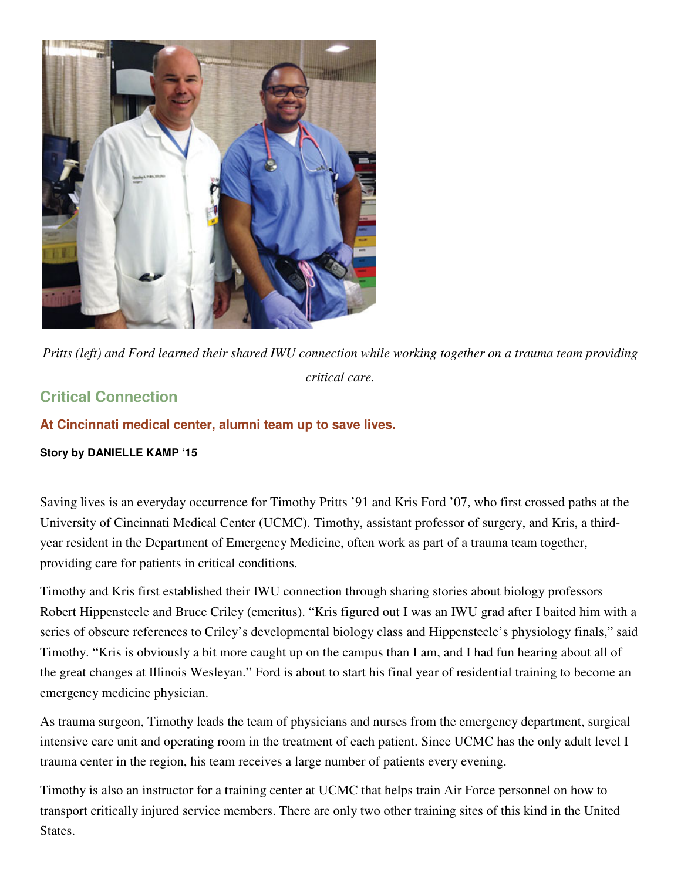

*Pritts (left) and Ford learned their shared IWU connection while working together on a trauma team providing critical care.* 

## **Critical Connection**

### **At Cincinnati medical center, alumni team up to save lives.**

#### **Story by DANIELLE KAMP '15**

Saving lives is an everyday occurrence for Timothy Pritts '91 and Kris Ford '07, who first crossed paths at the University of Cincinnati Medical Center (UCMC). Timothy, assistant professor of surgery, and Kris, a thirdyear resident in the Department of Emergency Medicine, often work as part of a trauma team together, providing care for patients in critical conditions.

Timothy and Kris first established their IWU connection through sharing stories about biology professors Robert Hippensteele and Bruce Criley (emeritus). "Kris figured out I was an IWU grad after I baited him with a series of obscure references to Criley's developmental biology class and Hippensteele's physiology finals," said Timothy. "Kris is obviously a bit more caught up on the campus than I am, and I had fun hearing about all of the great changes at Illinois Wesleyan." Ford is about to start his final year of residential training to become an emergency medicine physician.

As trauma surgeon, Timothy leads the team of physicians and nurses from the emergency department, surgical intensive care unit and operating room in the treatment of each patient. Since UCMC has the only adult level I trauma center in the region, his team receives a large number of patients every evening.

Timothy is also an instructor for a training center at UCMC that helps train Air Force personnel on how to transport critically injured service members. There are only two other training sites of this kind in the United States.